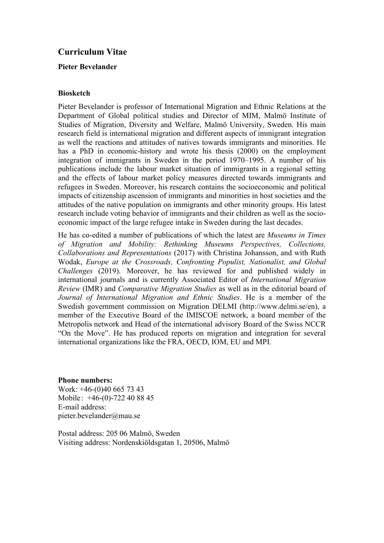# **Curriculum Vitae**

## **Pieter Bevelander**

#### **Biosketch**

Pieter Bevelander is professor of International Migration and Ethnic Relations at the Department of Global political studies and Director of MIM, Malmö Institute of Studies of Migration, Diversity and Welfare, Malmö University, Sweden. His main research field is international migration and different aspects of immigrant integration as well the reactions and attitudes of natives towards immigrants and minorities. He has a PhD in economic-history and wrote his thesis (2000) on the employment integration of immigrants in Sweden in the period 1970–1995. A number of his publications include the labour market situation of immigrants in a regional setting and the effects of labour market policy measures directed towards immigrants and refugees in Sweden. Moreover, his research contains the socioeconomic and political impacts of citizenship ascension of immigrants and minorities in host societies and the attitudes of the native population on immigrants and other minority groups. His latest research include voting behavior of immigrants and their children as well as the socioeconomic impact of the large refugee intake in Sweden during the last decades.

He has co-edited a number of publications of which the latest are *Museums in Times of Migration and Mobility: Rethinking Museums Perspectives, Collections, Collaborations and Representations* (2017) with Christina Johansson, and with Ruth Wodak, *Europe at the Crossroads, Confronting Populist, Nationalist, and Global Challenges* (2019). Moreover, he has reviewed for and published widely in international journals and is currently Associated Editor of *International Migration Review* (IMR) and *Comparative Migration Studies* as well as in the editorial board of *Journal of International Migration and Ethnic Studies*. He is a member of the Swedish government commission on Migration DELMI (http://www.delmi.se/en), a member of the Executive Board of the IMISCOE network, a board member of the Metropolis network and Head of the international advisory Board of the Swiss NCCR "On the Move". He has produced reports on migration and integration for several international organizations like the FRA, OECD, IOM, EU and MPI.

#### **Phone numbers:**

Work: +46-(0)40 665 73 43 Mobile: +46-(0)-722 40 88 45 E-mail address: pieter.bevelander@mau.se

Postal address: 205 06 Malmö, Sweden Visiting address: Nordenskiöldsgatan 1, 20506, Malmö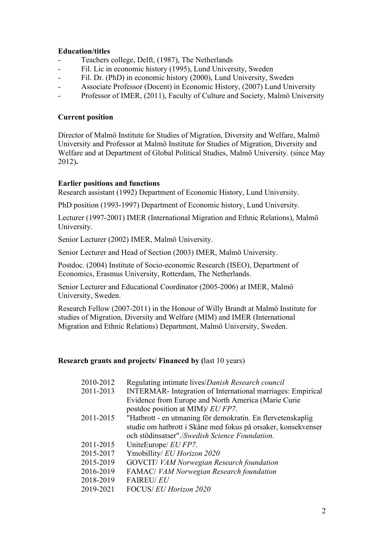## **Education/titles**

- Teachers college, Delft, (1987), The Netherlands
- Fil. Lic in economic history (1995), Lund University, Sweden
- Fil. Dr. (PhD) in economic history (2000), Lund University, Sweden
- Associate Professor (Docent) in Economic History, (2007) Lund University
- Professor of IMER, (2011), Faculty of Culture and Society, Malmö University

### **Current position**

Director of Malmö Institute for Studies of Migration, Diversity and Welfare, Malmö University and Professor at Malmö Institute for Studies of Migration, Diversity and Welfare and at Department of Global Political Studies, Malmö University. (since May 2012)**.**

## **Earlier positions and functions**

Research assistant (1992) Department of Economic History, Lund University.

PhD position (1993-1997) Department of Economic history, Lund University.

Lecturer (1997-2001) IMER (International Migration and Ethnic Relations), Malmö University.

Senior Lecturer (2002) IMER, Malmö University.

Senior Lecturer and Head of Section (2003) IMER, Malmö University.

Postdoc. (2004) Institute of Socio-economic Research (ISEO), Department of Economics, Erasmus University, Rotterdam, The Netherlands.

Senior Lecturer and Educational Coordinator (2005-2006) at IMER, Malmö University, Sweden.

Research Fellow (2007-2011) in the Honour of Willy Brandt at Malmö Institute for studies of Migration, Diversity and Welfare (MIM) and IMER (International Migration and Ethnic Relations) Department, Malmö University, Sweden.

#### **Research grants and projects/ Financed by (**last 10 years)

| 2010-2012 | Regulating intimate lives/Danish Research council                                        |
|-----------|------------------------------------------------------------------------------------------|
| 2011-2013 | <b>INTERMAR-</b> Integration of International marriages: Empirical                       |
|           | Evidence from Europe and North America (Marie Curie<br>postdoc position at MIM)/ EU FP7. |
| 2011-2015 | "Hatbrott - en utmaning för demokratin. En flervetenskaplig                              |
|           | studie om hatbrott i Skåne med fokus på orsaker, konsekvenser                            |
|           | och stödinsatser"./Swedish Science Foundation.                                           |
| 2011-2015 | UniteEurope/ EU FP7.                                                                     |
| 2015-2017 | Ymobillity/ EU Horizon 2020                                                              |
| 2015-2019 | GOVCIT/ VAM Norwegian Research foundation                                                |
| 2016-2019 | FAMAC/ VAM Norwegian Research foundation                                                 |
| 2018-2019 | <b>FAIREU/EU</b>                                                                         |
| 2019-2021 | FOCUS/ EU Horizon 2020                                                                   |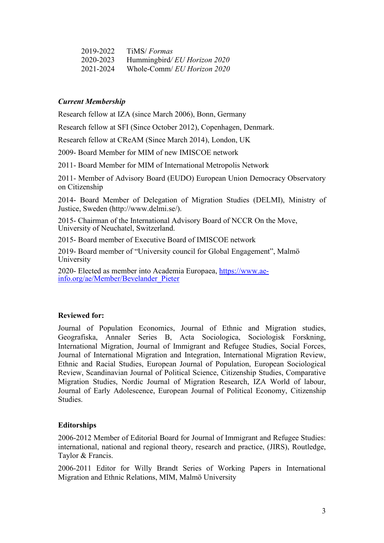| 2019-2022 | TiMS/ <i>Formas</i>         |
|-----------|-----------------------------|
| 2020-2023 | Hummingbird/EU Horizon 2020 |
| 2021-2024 | Whole-Comm/ EU Horizon 2020 |

### *Current Membership*

Research fellow at IZA (since March 2006), Bonn, Germany

Research fellow at SFI (Since October 2012), Copenhagen, Denmark.

Research fellow at CReAM (Since March 2014), London, UK

2009- Board Member for MIM of new IMISCOE network

2011- Board Member for MIM of International Metropolis Network

2011- Member of Advisory Board (EUDO) European Union Democracy Observatory on Citizenship

2014- Board Member of Delegation of Migration Studies (DELMI), Ministry of Justice, Sweden (http://www.delmi.se/).

2015- Chairman of the International Advisory Board of NCCR On the Move, University of Neuchatel, Switzerland.

2015- Board member of Executive Board of IMISCOE network

2019- Board member of "University council for Global Engagement", Malmö University

2020- Elected as member into Academia Europaea, [https://www.ae](https://www.ae-info.org/ae/Member/Bevelander_Pieter)[info.org/ae/Member/Bevelander\\_Pieter](https://www.ae-info.org/ae/Member/Bevelander_Pieter)

#### **Reviewed for:**

Journal of Population Economics, Journal of Ethnic and Migration studies, Geografiska, Annaler Series B, Acta Sociologica, Sociologisk Forskning, International Migration, Journal of Immigrant and Refugee Studies, Social Forces, Journal of International Migration and Integration, International Migration Review, Ethnic and Racial Studies, European Journal of Population, European Sociological Review, Scandinavian Journal of Political Science, Citizenship Studies, Comparative Migration Studies, Nordic Journal of Migration Research, IZA World of labour, Journal of Early Adolescence, European Journal of Political Economy, Citizenship Studies.

#### **Editorships**

2006-2012 Member of Editorial Board for Journal of Immigrant and Refugee Studies: international, national and regional theory, research and practice, (JIRS), Routledge, Taylor & Francis.

2006-2011 Editor for Willy Brandt Series of Working Papers in International Migration and Ethnic Relations, MIM, Malmö University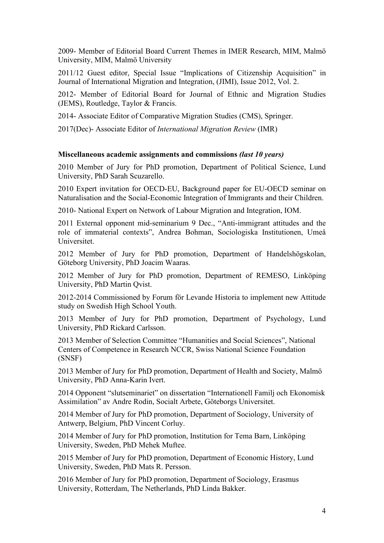2009- Member of Editorial Board Current Themes in IMER Research, MIM, Malmö University, MIM, Malmö University

2011/12 Guest editor, Special Issue "Implications of Citizenship Acquisition" in Journal of International Migration and Integration, (JIMI), Issue 2012, Vol. 2.

2012- Member of Editorial Board for Journal of Ethnic and Migration Studies (JEMS), Routledge, Taylor & Francis.

2014- Associate Editor of Comparative Migration Studies (CMS), Springer.

2017(Dec)- Associate Editor of *International Migration Review* (IMR)

#### **Miscellaneous academic assignments and commissions** *(last 10 years)*

2010 Member of Jury for PhD promotion, Department of Political Science, Lund University, PhD Sarah Scuzarello.

2010 Expert invitation for OECD-EU, Background paper for EU-OECD seminar on Naturalisation and the Social-Economic Integration of Immigrants and their Children.

2010- National Expert on Network of Labour Migration and Integration, IOM.

2011 External opponent mid-seminarium 9 Dec., "Anti-immigrant attitudes and the role of immaterial contexts", Andrea Bohman, Sociologiska Institutionen, Umeå Universitet.

2012 Member of Jury for PhD promotion, Department of Handelshögskolan, Göteborg University, PhD Joacim Waaras.

2012 Member of Jury for PhD promotion, Department of REMESO, Linköping University, PhD Martin Qvist.

2012-2014 Commissioned by Forum för Levande Historia to implement new Attitude study on Swedish High School Youth.

2013 Member of Jury for PhD promotion, Department of Psychology, Lund University, PhD Rickard Carlsson.

2013 Member of Selection Committee "Humanities and Social Sciences", National Centers of Competence in Research NCCR, Swiss National Science Foundation (SNSF)

2013 Member of Jury for PhD promotion, Department of Health and Society, Malmö University, PhD Anna-Karin Ivert.

2014 Opponent "slutseminariet" on dissertation "Internationell Familj och Ekonomisk Assimilation" av Andre Rodin, Socialt Arbete, Göteborgs Universitet.

2014 Member of Jury for PhD promotion, Department of Sociology, University of Antwerp, Belgium, PhD Vincent Corluy.

2014 Member of Jury for PhD promotion, Institution for Tema Barn, Linköping University, Sweden, PhD Mehek Muftee.

2015 Member of Jury for PhD promotion, Department of Economic History, Lund University, Sweden, PhD Mats R. Persson.

2016 Member of Jury for PhD promotion, Department of Sociology, Erasmus University, Rotterdam, The Netherlands, PhD Linda Bakker.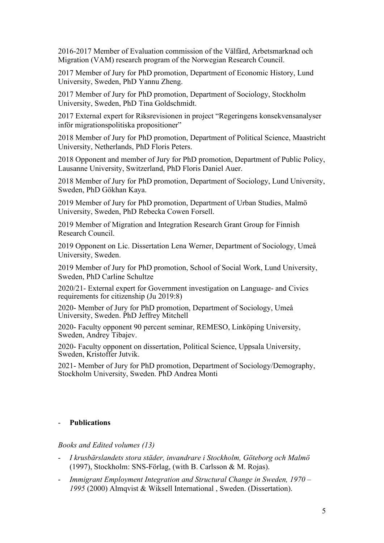2016-2017 Member of Evaluation commission of the Välfärd, Arbetsmarknad och Migration (VAM) research program of the Norwegian Research Council.

2017 Member of Jury for PhD promotion, Department of Economic History, Lund University, Sweden, PhD Yannu Zheng.

2017 Member of Jury for PhD promotion, Department of Sociology, Stockholm University, Sweden, PhD Tina Goldschmidt.

2017 External expert for Riksrevisionen in project "Regeringens konsekvensanalyser inför migrationspolitiska propositioner"

2018 Member of Jury for PhD promotion, Department of Political Science, Maastricht University, Netherlands, PhD Floris Peters.

2018 Opponent and member of Jury for PhD promotion, Department of Public Policy, Lausanne University, Switzerland, PhD Floris Daniel Auer.

2018 Member of Jury for PhD promotion, Department of Sociology, Lund University, Sweden, PhD Gökhan Kaya.

2019 Member of Jury for PhD promotion, Department of Urban Studies, Malmö University, Sweden, PhD Rebecka Cowen Forsell.

2019 Member of Migration and Integration Research Grant Group for Finnish Research Council.

2019 Opponent on Lic. Dissertation Lena Werner, Department of Sociology, Umeå University, Sweden.

2019 Member of Jury for PhD promotion, School of Social Work, Lund University, Sweden, PhD Carline Schultze

2020/21- External expert for Government investigation on Language- and Civics requirements for citizenship (Ju 2019:8)

2020- Member of Jury for PhD promotion, Department of Sociology, Umeå University, Sweden. PhD Jeffrey Mitchell

2020- Faculty opponent 90 percent seminar, REMESO, Linköping University, Sweden, Andrey Tibajev.

2020- Faculty opponent on dissertation, Political Science, Uppsala University, Sweden, Kristoffer Jutvik.

2021- Member of Jury for PhD promotion, Department of Sociology/Demography, Stockholm University, Sweden. PhD Andrea Monti

#### - **Publications**

*Books and Edited volumes (13)*

- *I krusbärslandets stora städer, invandrare i Stockholm, Göteborg och Malmö* (1997), Stockholm: SNS-Förlag, (with B. Carlsson & M. Rojas).
- *Immigrant Employment Integration and Structural Change in Sweden, 1970 – 1995* (2000) Almqvist & Wiksell International , Sweden. (Dissertation).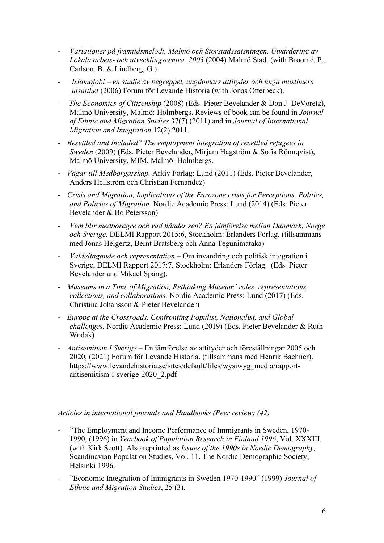- *Variationer på framtidsmelodi, Malmö och Storstadssatsningen, Utvärdering av Lokala arbets- och utvecklingscentra*, *2003* (2004) Malmö Stad. (with Broomé, P., Carlson, B. & Lindberg, G.)
- *Islamofobi – en studie av begreppet, ungdomars attityder och unga muslimers utsatthet* (2006) Forum för Levande Historia (with Jonas Otterbeck).
- *The Economics of Citizenship* (2008) (Eds. Pieter Bevelander & Don J. DeVoretz), Malmö University, Malmö: Holmbergs. Reviews of book can be found in *Journal of Ethnic and Migration Studies* 37(7) (2011) and in *Journal of International Migration and Integration* 12(2) 2011.
- *Resettled and Included? The employment integration of resettled refugees in Sweden* (2009) (Eds. Pieter Bevelander, Mirjam Hagström & Sofia Rönnqvist), Malmö University, MIM, Malmö: Holmbergs.
- *Vägar till Medborgarskap.* Arkiv Förlag: Lund (2011) (Eds. Pieter Bevelander, Anders Hellström och Christian Fernandez)
- *Crisis and Migration, Implications of the Eurozone crisis for Perceptions, Politics, and Policies of Migration.* Nordic Academic Press: Lund (2014) (Eds. Pieter Bevelander & Bo Petersson)
- *Vem blir medboragre och vad händer sen? En jämförelse mellan Danmark, Norge och Sverige*. DELMI Rapport 2015:6, Stockholm: Erlanders Förlag. (tillsammans med Jonas Helgertz, Bernt Bratsberg och Anna Tegunimataka)
- *Valdeltagande och representation*  Om invandring och politisk integration i Sverige, DELMI Rapport 2017:7, Stockholm: Erlanders Förlag. (Eds. Pieter Bevelander and Mikael Spång).
- *Museums in a Time of Migration, Rethinking Museum' roles, representations, collections, and collaborations.* Nordic Academic Press: Lund (2017) (Eds. Christina Johansson & Pieter Bevelander)
- *Europe at the Crossroads, Confronting Populist, Nationalist, and Global challenges.* Nordic Academic Press: Lund (2019) (Eds. Pieter Bevelander & Ruth Wodak)
- *Antisemitism I Sverige –* En jämförelse av attityder och föreställningar 2005 och 2020, (2021) Forum för Levande Historia. (tillsammans med Henrik Bachner). https://www.levandehistoria.se/sites/default/files/wysiwyg\_media/rapportantisemitism-i-sverige-2020\_2.pdf

#### *Articles in international journals and Handbooks (Peer review) (42)*

- "The Employment and Income Performance of Immigrants in Sweden, 1970- 1990, (1996) in *Yearbook of Population Research in Finland 1996*, Vol. XXXIII, (with Kirk Scott). Also reprinted as *Issues of the 1990s in Nordic Demography,* Scandinavian Population Studies, Vol. 11. The Nordic Demographic Society, Helsinki 1996.
- "Economic Integration of Immigrants in Sweden 1970-1990" (1999) *Journal of Ethnic and Migration Studies*, 25 (3).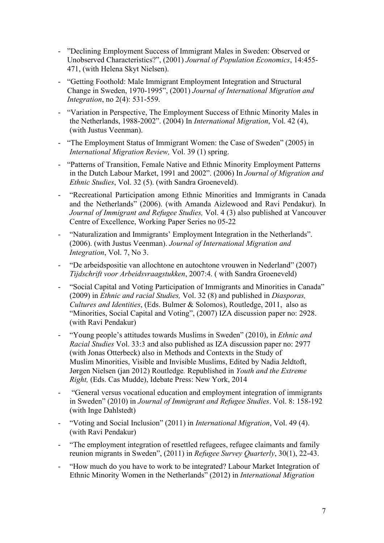- "Declining Employment Success of Immigrant Males in Sweden: Observed or Unobserved Characteristics?", (2001) *Journal of Population Economics*, 14:455- 471, (with Helena Skyt Nielsen).
- "Getting Foothold: Male Immigrant Employment Integration and Structural Change in Sweden, 1970-1995", (2001) *Journal of International Migration and Integration*, no 2(4): 531-559.
- "Variation in Perspective, The Employment Success of Ethnic Minority Males in the Netherlands, 1988-2002". (2004) In *International Migration*, Vol. 42 (4), (with Justus Veenman).
- "The Employment Status of Immigrant Women: the Case of Sweden" (2005) in *International Migration Review,* Vol. 39 (1) spring.
- "Patterns of Transition, Female Native and Ethnic Minority Employment Patterns in the Dutch Labour Market, 1991 and 2002". (2006) In *Journal of Migration and Ethnic Studies*, Vol. 32 (5). (with Sandra Groeneveld).
- "Recreational Participation among Ethnic Minorities and Immigrants in Canada and the Netherlands" (2006). (with Amanda Aizlewood and Ravi Pendakur). In *Journal of Immigrant and Refugee Studies,* Vol. 4 (3) also published at Vancouver Centre of Excellence, Working Paper Series no 05-22
- "Naturalization and Immigrants' Employment Integration in the Netherlands". (2006). (with Justus Veenman). *Journal of International Migration and Integration*, Vol. 7, No 3.
- "De arbeidspositie van allochtone en autochtone vrouwen in Nederland" (2007) *Tijdschrift voor Arbeidsvraagstukken*, 2007:4. ( with Sandra Groeneveld)
- "Social Capital and Voting Participation of Immigrants and Minorities in Canada" (2009) in *Ethnic and racial Studies,* Vol. 32 (8) and published in *Diasporas, Cultures and Identities*, (Eds. Bulmer & Solomos), Routledge, 2011, also as "Minorities, Social Capital and Voting", (2007) IZA discussion paper no: 2928. (with Ravi Pendakur)
- "Young people's attitudes towards Muslims in Sweden" (2010), in *Ethnic and Racial Studies* Vol. 33:3 and also published as IZA discussion paper no: 2977 (with Jonas Otterbeck) also in Methods and Contexts in the Study of Muslim Minorities, Visible and Invisible Muslims, Edited by Nadia [Jeldtoft,](http://www.routledge.com/books/search/author/nadia_jeldtoft/) Jørgen [Nielsen](http://www.routledge.com/books/search/author/jorgen_nielsen/) (jan 2012) Routledge*.* Republished in *Youth and the Extreme Right,* (Eds. Cas Mudde), Idebate Press: New York, 2014
- "General versus vocational education and employment integration of immigrants in Sweden" (2010) in *Journal of Immigrant and Refugee Studies*. Vol. 8: 158-192 (with Inge Dahlstedt)
- "Voting and Social Inclusion" (2011) in *International Migration*, Vol. 49 (4). (with Ravi Pendakur)
- "The employment integration of resettled refugees, refugee claimants and family reunion migrants in Sweden", (2011) in *Refugee Survey Quarterly*, 30(1), 22-43.
- "How much do you have to work to be integrated? Labour Market Integration of Ethnic Minority Women in the Netherlands" (2012) in *International Migration*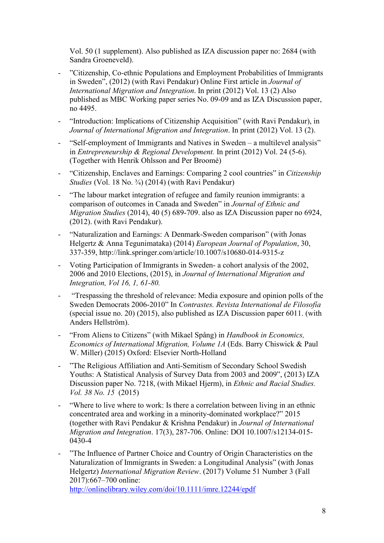Vol. 50 (1 supplement). Also published as IZA discussion paper no: 2684 (with Sandra Groeneveld).

- "Citizenship, Co-ethnic Populations and Employment Probabilities of Immigrants in Sweden", (2012) (with Ravi Pendakur) Online First article in *Journal of International Migration and Integration*. In print (2012) Vol. 13 (2) Also published as MBC Working paper series No. 09-09 and as IZA Discussion paper, no 4495.
- "Introduction: Implications of Citizenship Acquisition" (with Ravi Pendakur), in *Journal of International Migration and Integration*. In print (2012) Vol. 13 (2).
- "Self-employment of Immigrants and Natives in Sweden a multilevel analysis" in *Entrepreneurship & Regional Development.* In print (2012) Vol. 24 (5-6). (Together with Henrik Ohlsson and Per Broomé)
- "Citizenship, Enclaves and Earnings: Comparing 2 cool countries" in *Citizenship Studies* (Vol. 18 No. <sup>3</sup>/<sub>4</sub>) (2014) (with Ravi Pendakur)
- "The labour market integration of refugee and family reunion immigrants: a comparison of outcomes in Canada and Sweden" in *Journal of Ethnic and Migration Studies* (2014), 40 (5) 689-709. also as IZA Discussion paper no 6924, (2012). (with Ravi Pendakur).
- "Naturalization and Earnings: A Denmark-Sweden comparison" (with Jonas Helgertz & Anna Tegunimataka) (2014) *European Journal of Population*, 30, 337-359, http://link.springer.com/article/10.1007/s10680-014-9315-z
- Voting Participation of Immigrants in Sweden- a cohort analysis of the 2002, 2006 and 2010 Elections, (2015), in *Journal of International Migration and Integration, Vol 16, 1, 61-80.*
- "Trespassing the threshold of relevance: Media exposure and opinion polls of the Sweden Democrats 2006-2010" In *Contrastes. Revista International de Filosofía* (special issue no. 20) (2015), also published as IZA Discussion paper 6011. (with Anders Hellström).
- "From Aliens to Citizens" (with Mikael Spång) in *Handbook in Economics, Economics of International Migration, Volume 1A* (Eds. Barry Chiswick & Paul W. Miller) (2015) Oxford: Elsevier North-Holland
- "The Religious Affiliation and Anti-Semitism of Secondary School Swedish Youths: A Statistical Analysis of Survey Data from 2003 and 2009", (2013) IZA Discussion paper No. 7218, (with Mikael Hjerm), in *Ethnic and Racial Studies. Vol. 38 No. 15* (2015)
- "Where to live where to work: Is there a correlation between living in an ethnic concentrated area and working in a minority-dominated workplace?" 2015 (together with Ravi Pendakur & Krishna Pendakur) in *Journal of International Migration and Integration*. 17(3), 287-706. Online: DOI 10.1007/s12134-015- 0430-4
- "The Influence of Partner Choice and Country of Origin Characteristics on the Naturalization of Immigrants in Sweden: a Longitudinal Analysis" (with Jonas Helgertz) *International Migration Review*. (2017) Volume 51 Number 3 (Fall 2017):667–700 online: <http://onlinelibrary.wiley.com/doi/10.1111/imre.12244/epdf>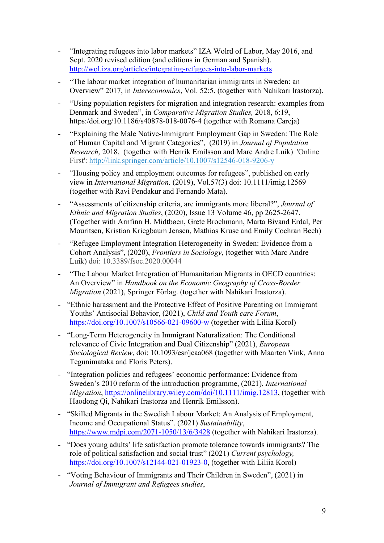- "Integrating refugees into labor markets" IZA Wolrd of Labor, May 2016, and Sept. 2020 revised edition (and editions in German and Spanish). <http://wol.iza.org/articles/integrating-refugees-into-labor-markets>
- "The labour market integration of humanitarian immigrants in Sweden: an Overview" 2017, in *Intereconomics*, Vol. 52:5. (together with Nahikari Irastorza).
- "Using population registers for migration and integration research: examples from Denmark and Sweden", in *Comparative Migration Studies,* 2018, 6:19, https:/doi.org/10.1186/s40878-018-0076-4 (together with Romana Careja)
- "Explaining the Male Native-Immigrant Employment Gap in Sweden: The Role of Human Capital and Migrant Categories", (2019) in *Journal of Population Research*, 2018, (together with Henrik Emilsson and Marc Andre Luik) 'Online First': [http://link.springer.com/article/10.1007/s12546-018-9206-y](http://links.springernature.com/f/a/ogT_aLowZhji8o3MD7YZ1A%7E%7E/AABE5gA%7E/RgRdPiKjP0QwaHR0cDovL3d3dy5zcHJpbmdlci5jb20vLS8yL0FXVGpCZHd0T3VHTGE4WnNnZ09sVwNzcGNCCgAAI-9cW_OJolJSGFBpZXRlci5iZXZlbGFuZGVyQG1hdS5zZVgEAAAG5w%7E%7E)
- "Housing policy and employment outcomes for refugees", published on early view in *International Migration,* (2019), Vol.57(3) doi: 10.1111/imig.12569 (together with Ravi Pendakur and Fernando Mata).
- "Assessments of citizenship criteria, are immigrants more liberal?", *Journal of Ethnic and Migration Studies*, (2020), Issue 13 Volume 46, pp 2625-2647. (Together with Arnfinn H. Midtbøen, Grete Brochmann, Marta Bivand Erdal, Per Mouritsen, Kristian Kriegbaum Jensen, Mathias Kruse and Emily Cochran Bech)
- "Refugee Employment Integration Heterogeneity in Sweden: Evidence from a Cohort Analysis", (2020), *Frontiers in Sociology*, (together with Marc Andre Luik) doi: 10.3389/fsoc.2020.00044
- "The Labour Market Integration of Humanitarian Migrants in OECD countries: An Overview" in *Handbook on the Economic Geography of Cross-Border Migration* (2021), Springer Förlag. (together with Nahikari Irastorza).
- "Ethnic harassment and the Protective Effect of Positive Parenting on Immigrant Youths' Antisocial Behavior, (2021), *Child and Youth care Forum*, <https://doi.org/10.1007/s10566-021-09600-w> (together with Liliia Korol)
- "Long-Term Heterogeneity in Immigrant Naturalization: The Conditional relevance of Civic Integration and Dual Citizenship" (2021), *European Sociological Review*, doi: 10.1093/esr/jcaa068 (together with Maarten Vink, Anna Tegunimataka and Floris Peters).
- "Integration policies and refugees' economic performance: Evidence from Sweden's 2010 reform of the introduction programme, (2021), *International Migration*, [https://onlinelibrary.wiley.com/doi/10.1111/imig.12813,](https://onlinelibrary.wiley.com/doi/10.1111/imig.12813) (together with Haodong Qi, Nahikari Irastorza and Henrik Emilsson).
- "Skilled Migrants in the Swedish Labour Market: An Analysis of Employment, Income and Occupational Status". (2021) *Sustainability*, <https://www.mdpi.com/2071-1050/13/6/3428> (together with Nahikari Irastorza).
- "Does young adults' life satisfaction promote tolerance towards immigrants? The role of political satisfaction and social trust" (2021) *Current psychology,*  [https://doi.org/10.1007/s12144-021-01923-0,](https://doi.org/10.1007/s12144-021-01923-0) (together with Liliia Korol)
- "Voting Behaviour of Immigrants and Their Children in Sweden", (2021) in *Journal of Immigrant and Refugees studies*,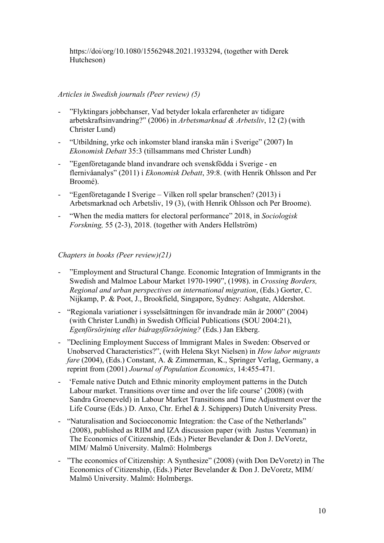https://doi/org/10.1080/15562948.2021.1933294, (together with Derek Hutcheson)

### *Articles in Swedish journals (Peer review) (5)*

- "Flyktingars jobbchanser, Vad betyder lokala erfarenheter av tidigare arbetskraftsinvandring?" (2006) in *Arbetsmarknad & Arbetsliv*, 12 (2) (with Christer Lund)
- "Utbildning, yrke och inkomster bland iranska män i Sverige" (2007) In *Ekonomisk Debatt* 35:3 (tillsammans med Christer Lundh)
- "Egenföretagande bland invandrare och svenskfödda i Sverige en flernivåanalys" (2011) i *Ekonomisk Debatt*, 39:8. (with Henrik Ohlsson and Per Broomé).
- "Egenföretagande I Sverige Vilken roll spelar branschen? (2013) i Arbetsmarknad och Arbetsliv, 19 (3), (with Henrik Ohlsson och Per Broome).
- "When the media matters for electoral performance" 2018, in *Sociologisk Forskning,* 55 (2-3), 2018. (together with Anders Hellström)

## *Chapters in books (Peer review)(21)*

- "Employment and Structural Change. Economic Integration of Immigrants in the Swedish and Malmoe Labour Market 1970-1990", (1998). in *Crossing Borders, Regional and urban perspectives on international migration*, (Eds.) Gorter, C. Nijkamp, P. & Poot, J., Brookfield, Singapore, Sydney: Ashgate, Aldershot.
- "Regionala variationer i sysselsättningen för invandrade män år 2000" (2004) (with Christer Lundh) in Swedish Official Publications (SOU 2004:21), *Egenförsörjning eller bidragsförsörjning?* (Eds.) Jan Ekberg.
- "Declining Employment Success of Immigrant Males in Sweden: Observed or Unobserved Characteristics?", (with Helena Skyt Nielsen) in *How labor migrants fare* (2004), (Eds.) Constant, A. & Zimmerman, K., Springer Verlag, Germany, a reprint from (2001) *Journal of Population Economics*, 14:455-471.
- 'Female native Dutch and Ethnic minority employment patterns in the Dutch Labour market. Transitions over time and over the life course' (2008) (with Sandra Groeneveld) in Labour Market Transitions and Time Adjustment over the Life Course (Eds.) D. Anxo, Chr. Erhel & J. Schippers) Dutch University Press.
- "Naturalisation and Socioeconomic Integration: the Case of the Netherlands" (2008), published as RIIM and IZA discussion paper (with Justus Veenman) in The Economics of Citizenship, (Eds.) Pieter Bevelander & Don J. DeVoretz, MIM/ Malmö University. Malmö: Holmbergs
- "The economics of Citizenship: A Synthesize" (2008) (with Don DeVoretz) in The Economics of Citizenship, (Eds.) Pieter Bevelander & Don J. DeVoretz, MIM/ Malmö University. Malmö: Holmbergs.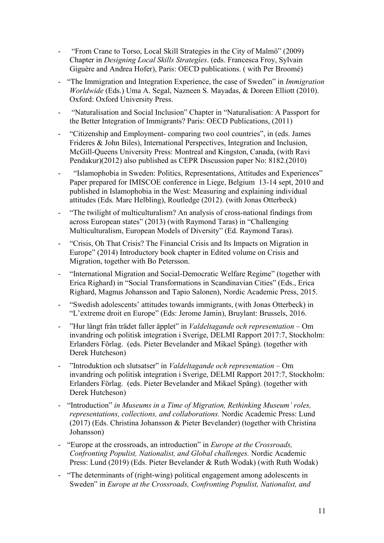- "From Crane to Torso, Local Skill Strategies in the City of Malmö" (2009) Chapter in *Designing Local Skills Strategies*. (eds. Francesca Froy, Sylvain Giguère and Andrea Hofer), Paris: OECD publications. ( with Per Broomé)
- "The Immigration and Integration Experience, the case of Sweden" in *Immigration Worldwide* (Eds.) Uma A. Segal, Nazneen S. Mayadas, & Doreen Elliott (2010). Oxford: Oxford University Press.
- "Naturalisation and Social Inclusion" Chapter in "Naturalisation: A Passport for the Better Integration of Immigrants? Paris: OECD Publications, (2011)
- "Citizenship and Employment- comparing two cool countries", in (eds. James Frideres & John Biles), International Perspectives, Integration and Inclusion, McGill-Queens University Press: Montreal and Kingston, Canada, (with Ravi Pendakur)(2012) also published as CEPR Discussion paper No: 8182.(2010)
- "Islamophobia in Sweden: Politics, Representations, Attitudes and Experiences" Paper prepared for IMISCOE conference in Liege, Belgium 13-14 sept, 2010 and published in Islamophobia in the West: Measuring and explaining individual attitudes (Eds. Marc Helbling), Routledge (2012). (with Jonas Otterbeck)
- "The twilight of multiculturalism? An analysis of cross-national findings from across European states" (2013) (with Raymond Taras) in "Challenging Multiculturalism, European Models of Diversity" (Ed. Raymond Taras).
- "Crisis, Oh That Crisis? The Financial Crisis and Its Impacts on Migration in Europe" (2014) Introductory book chapter in Edited volume on Crisis and Migration, together with Bo Petersson.
- "International Migration and Social-Democratic Welfare Regime" (together with Erica Righard) in "Social Transformations in Scandinavian Cities" (Eds., Erica Righard, Magnus Johansson and Tapio Salonen), Nordic Academic Press, 2015.
- "Swedish adolescents' attitudes towards immigrants, (with Jonas Otterbeck) in "L'extreme droit en Europe" (Eds: Jerome Jamin), Bruylant: Brussels, 2016.
- "Hur långt från trädet faller äpplet" in *Valdeltagande och representation*  Om invandring och politisk integration i Sverige, DELMI Rapport 2017:7, Stockholm: Erlanders Förlag. (eds. Pieter Bevelander and Mikael Spång). (together with Derek Hutcheson)
- "Introduktion och slutsatser" in *Valdeltagande och representation*  Om invandring och politisk integration i Sverige, DELMI Rapport 2017:7, Stockholm: Erlanders Förlag. (eds. Pieter Bevelander and Mikael Spång). (together with Derek Hutcheson)
- "Introduction" *in Museums in a Time of Migration, Rethinking Museum' roles, representations, collections, and collaborations.* Nordic Academic Press: Lund (2017) (Eds. Christina Johansson & Pieter Bevelander) (together with Christina Johansson)
- "Europe at the crossroads, an introduction" in *Europe at the Crossroads, Confronting Populist, Nationalist, and Global challenges.* Nordic Academic Press: Lund (2019) (Eds. Pieter Bevelander & Ruth Wodak) (with Ruth Wodak)
- "The determinants of (right-wing) political engagement among adolescents in Sweden" in *Europe at the Crossroads, Confronting Populist, Nationalist, and*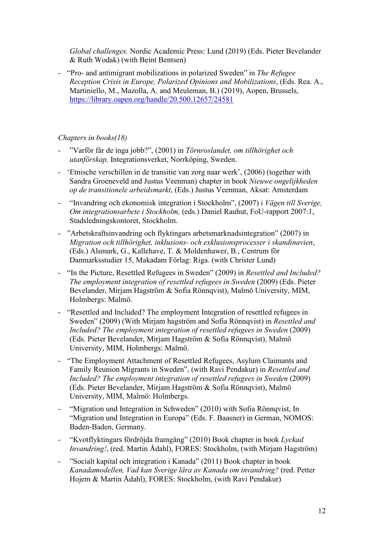*Global challenges.* Nordic Academic Press: Lund (2019) (Eds. Pieter Bevelander & Ruth Wodak) (with Beint Bentsen)

- "Pro- and antimigrant mobilizations in polarized Sweden" in *The Refugee Reception Crisis in Europe, Polarized Opinions and Mobilizations*, (Eds. Rea. A., Martiniello, M., Mazolla, A. and Meuleman, B.) (2019), Aopen, Brussels, <https://library.oapen.org/handle/20.500.12657/24581>

## *Chapters in books(18)*

- "Varför får de inga jobb?", (2001) in *Törnroslandet, om tillhörighet och utanförskap,* Integrationsverket, Norrköping, Sweden.
- 'Etnische verschillen in de transitie van zorg naar werk', (2006) (together with Sandra Groeneveld and Justus Veenman) chapter in book *Nieuwe ongelijkheden op de transitionele arbeidsmarkt*, (Eds.) Justus Veenman, Aksat: Amsterdam
- "Invandring och ekonomisk integration i Stockholm", (2007) i *Vägen till Sverige, Om integrationsarbete i Stockholm,* (eds.) Daniel Rauhut, FoU-rapport 2007:1, Stadsledningskontoret, Stockholm.
- "Arbetskraftsinvandring och flyktingars arbetsmarknadsintegration" (2007) in *Migration och tillhörighet, inklusions- och exklusionsprocesser i skandinavien*, (Eds.) Alsmark, G., Kallehave, T. & Moldenhawer, B., Centrum för Danmarksstudier 15, Makadam Förlag: Riga. (with Christer Lund)
- "In the Picture, Resettled Refugees in Sweden" (2009) in *Resettled and Included? The employment integration of resettled refugees in Sweden* (2009) (Eds. Pieter Bevelander, Mirjam Hagström & Sofia Rönnqvist), Malmö University, MIM, Holmbergs: Malmö.
- "Resettled and Included? The employment Integration of resettled refugees in Sweden" (2009) (With Mirjam hagström and Sofia Rönnqvist) in *Resettled and Included? The employment integration of resettled refugees in Sweden* (2009) (Eds. Pieter Bevelander, Mirjam Hagström & Sofia Rönnqvist), Malmö University, MIM, Holmbergs: Malmö.
- "The Employment Attachment of Resettled Refugees, Asylum Claimants and Family Reunion Migrants in Sweden", (with Ravi Pendakur) in *Resettled and Included? The employment integration of resettled refugees in Sweden* (2009) (Eds. Pieter Bevelander, Mirjam Hagström & Sofia Rönnqvist), Malmö University, MIM, Malmö: Holmbergs.
- "Migration und Integration in Schweden" (2010) with Sofia Rönnqvist, In "Migration und Integration in Europa" (Eds. F. Baasner) in German, NOMOS: Baden-Baden, Germany.
- "Kvotflyktingars fördröjda framgång" (2010) Book chapter in book *Lyckad Invandring!*, (red. Martin Ådahl), FORES: Stockholm, (with Mirjam Hagström)
- "Socialt kapital och integration i Kanada" (2011) Book chapter in book *Kanadamodellen, Vad kan Sverige lära av Kanada om invandring?* (red. Petter Hojem & Martin Ådahl), FORES: Stockholm, (with Ravi Pendakur)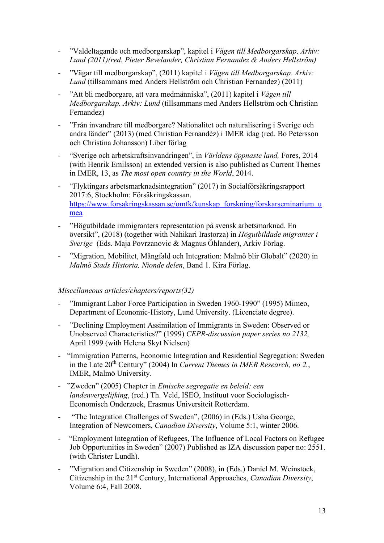- "Valdeltagande och medborgarskap", kapitel i *Vägen till Medborgarskap*. *Arkiv: Lund (2011)(red. Pieter Bevelander, Christian Fernandez & Anders Hellström)*
- "Vägar till medborgarskap", (2011) kapitel i *Vägen till Medborgarskap. Arkiv: Lund* (tillsammans med Anders Hellström och Christian Fernandez) (2011)
- "Att bli medborgare, att vara medmänniska", (2011) kapitel i Vägen till *Medborgarskap. Arkiv: Lund* (tillsammans med Anders Hellström och Christian Fernandez)
- "Från invandrare till medborgare? Nationalitet och naturalisering i Sverige och andra länder" (2013) (med Christian Fernandèz) i IMER idag (red. Bo Petersson och Christina Johansson) Liber förlag
- "Sverige och arbetskraftsinvandringen", in *Världens öppnaste land,* Fores, 2014 (with Henrik Emilsson) an extended version is also published as Current Themes in IMER, 13, as *The most open country in the World*, 2014.
- "Flyktingars arbetsmarknadsintegration" (2017) in Socialförsäkringsrapport 2017:6, Stockholm: Försäkringskassan. [https://www.forsakringskassan.se/omfk/kunskap\\_forskning/forskarseminarium\\_u](https://www.forsakringskassan.se/omfk/kunskap_forskning/forskarseminarium_umea) [mea](https://www.forsakringskassan.se/omfk/kunskap_forskning/forskarseminarium_umea)
- "Högutbildade immigranters representation på svensk arbetsmarknad. En översikt", (2018) (together with Nahikari Irastorza) in *Högutbildade migranter i Sverige* (Eds. Maja Povrzanovic & Magnus Öhlander), Arkiv Förlag.
- "Migration, Mobilitet, Mångfald och Integration: Malmö blir Globalt" (2020) in *Malmö Stads Historia, Nionde delen*, Band 1. Kira Förlag.

#### *Miscellaneous articles/chapters/reports(32)*

- "Immigrant Labor Force Participation in Sweden 1960-1990" (1995) Mimeo, Department of Economic-History, Lund University. (Licenciate degree).
- "Declining Employment Assimilation of Immigrants in Sweden: Observed or Unobserved Characteristics?" (1999) *CEPR-discussion paper series no 2132,*  April 1999 (with Helena Skyt Nielsen)
- "Immigration Patterns, Economic Integration and Residential Segregation: Sweden in the Late 20th Century" (2004) In *Current Themes in IMER Research, no 2.*, IMER, Malmö University.
- "Zweden" (2005) Chapter in *Etnische segregatie en beleid: een landenvergelijking*, (red.) Th. Veld, ISEO, Instituut voor Sociologisch-Economisch Onderzoek, Erasmus Universiteit Rotterdam.
- "The Integration Challenges of Sweden", (2006) in (Eds.) Usha George, Integration of Newcomers, *Canadian Diversity*, Volume 5:1, winter 2006.
- "Employment Integration of Refugees, The Influence of Local Factors on Refugee Job Opportunities in Sweden" (2007) Published as IZA discussion paper no: 2551. (with Christer Lundh).
- "Migration and Citizenship in Sweden" (2008), in (Eds.) Daniel M. Weinstock, Citizenship in the 21st Century, International Approaches, *Canadian Diversity*, Volume 6:4, Fall 2008.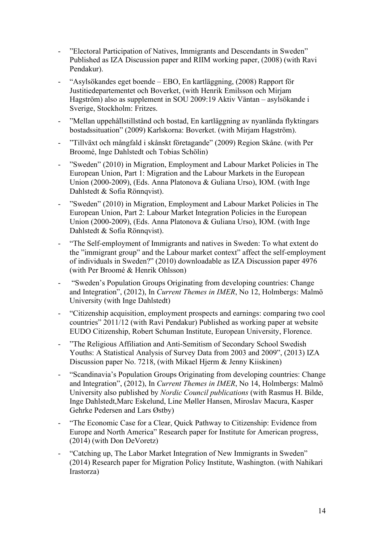- "Electoral Participation of Natives, Immigrants and Descendants in Sweden" Published as IZA Discussion paper and RIIM working paper, (2008) (with Ravi Pendakur).
- "Asylsökandes eget boende EBO, En kartläggning, (2008) Rapport för Justitiedepartementet och Boverket, (with Henrik Emilsson och Mirjam Hagström) also as supplement in SOU 2009:19 Aktiv Väntan – asylsökande i Sverige, Stockholm: Fritzes.
- "Mellan uppehållstillstånd och bostad, En kartläggning av nyanlända flyktingars bostadssituation" (2009) Karlskorna: Boverket. (with Mirjam Hagström).
- "Tillväxt och mångfald i skånskt företagande" (2009) Region Skåne. (with Per Broomé, Inge Dahlstedt och Tobias Schölin)
- "Sweden" (2010) in Migration, Employment and Labour Market Policies in The European Union, Part 1: Migration and the Labour Markets in the European Union (2000-2009), (Eds. Anna Platonova & Guliana Urso), IOM. (with Inge Dahlstedt & Sofia Rönnqvist).
- "Sweden" (2010) in Migration, Employment and Labour Market Policies in The European Union, Part 2: Labour Market Integration Policies in the European Union (2000-2009), (Eds. Anna Platonova & Guliana Urso), IOM. (with Inge Dahlstedt & Sofia Rönnqvist).
- "The Self-employment of Immigrants and natives in Sweden: To what extent do the "immigrant group" and the Labour market context" affect the self-employment of individuals in Sweden?" (2010) downloadable as IZA Discussion paper 4976 (with Per Broomé & Henrik Ohlsson)
- "Sweden's Population Groups Originating from developing countries: Change and Integration", (2012), In *Current Themes in IMER*, No 12, Holmbergs: Malmö University (with Inge Dahlstedt)
- "Citizenship acquisition, employment prospects and earnings: comparing two cool countries" 2011/12 (with Ravi Pendakur) Published as working paper at website EUDO Citizenship, Robert Schuman Institute, European University, Florence.
- "The Religious Affiliation and Anti-Semitism of Secondary School Swedish Youths: A Statistical Analysis of Survey Data from 2003 and 2009", (2013) IZA Discussion paper No. 7218, (with Mikael Hjerm & Jenny Kiiskinen)
- "Scandinavia's Population Groups Originating from developing countries: Change and Integration", (2012), In *Current Themes in IMER*, No 14, Holmbergs: Malmö University also published by *Nordic Council publications* (with Rasmus H. Bilde, Inge Dahlstedt,Marc Eskelund, Line Møller Hansen, Miroslav Macura, Kasper Gehrke Pedersen and Lars Østby)
- "The Economic Case for a Clear, Quick Pathway to Citizenship: Evidence from Europe and North America" Research paper for Institute for American progress, (2014) (with Don DeVoretz)
- "Catching up, The Labor Market Integration of New Immigrants in Sweden" (2014) Research paper for Migration Policy Institute, Washington. (with Nahikari Irastorza)